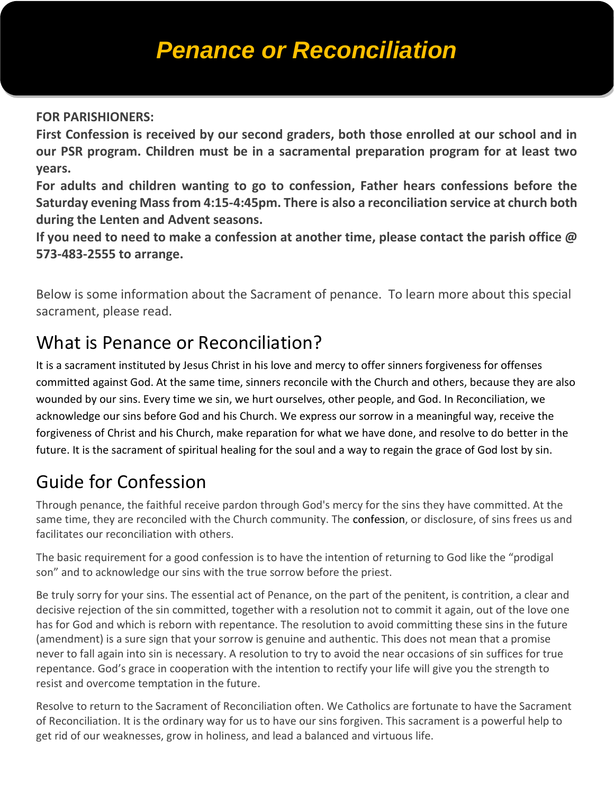# *Penance or Reconciliation*

#### **FOR PARISHIONERS:**

**First Confession is received by our second graders, both those enrolled at our school and in our PSR program. Children must be in a sacramental preparation program for at least two years.** 

**For adults and children wanting to go to confession, Father hears confessions before the Saturday evening Mass from 4:15-4:45pm. There is also a reconciliation service at church both during the Lenten and Advent seasons.** 

**If you need to need to make a confession at another time, please contact the parish office @ 573-483-2555 to arrange.**

Below is some information about the Sacrament of penance. To learn more about this special sacrament, please read.

# What is Penance or Reconciliation?

It is a sacrament instituted by Jesus Christ in his love and mercy to offer sinners forgiveness for offenses committed against God. At the same time, sinners reconcile with the Church and others, because they are also wounded by our sins. Every time we sin, we hurt ourselves, other people, and God. In Reconciliation, we acknowledge our sins before God and his Church. We express our sorrow in a meaningful way, receive the forgiveness of Christ and his Church, make reparation for what we have done, and resolve to do better in the future. It is the sacrament of spiritual healing for the soul and a way to regain the grace of God lost by sin.

# Guide for Confession

Through penance, the faithful receive pardon through God's mercy for the sins they have committed. At the same time, they are reconciled with the Church community. The [confession,](http://archstl.org/becomingcatholic/page/guide-confession) or disclosure, of sins frees us and facilitates our reconciliation with others.

The basic requirement for a good confession is to have the intention of returning to God like the "prodigal son" and to acknowledge our sins with the true sorrow before the priest.

Be truly sorry for your sins. The essential act of Penance, on the part of the penitent, is contrition, a clear and decisive rejection of the sin committed, together with a resolution not to commit it again, out of the love one has for God and which is reborn with repentance. The resolution to avoid committing these sins in the future (amendment) is a sure sign that your sorrow is genuine and authentic. This does not mean that a promise never to fall again into sin is necessary. A resolution to try to avoid the near occasions of sin suffices for true repentance. God's grace in cooperation with the intention to rectify your life will give you the strength to resist and overcome temptation in the future.

Resolve to return to the Sacrament of Reconciliation often. We Catholics are fortunate to have the Sacrament of Reconciliation. It is the ordinary way for us to have our sins forgiven. This sacrament is a powerful help to get rid of our weaknesses, grow in holiness, and lead a balanced and virtuous life.